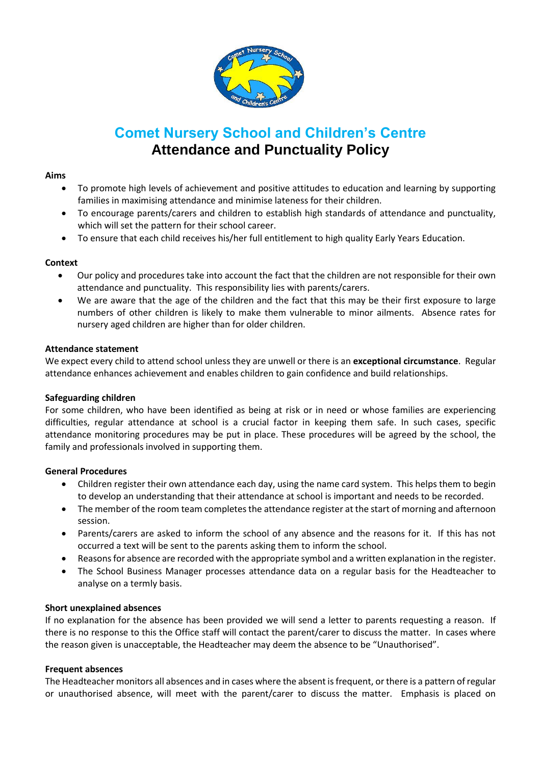

# **Comet Nursery School and Children's Centre Attendance and Punctuality Policy**

### **Aims**

- To promote high levels of achievement and positive attitudes to education and learning by supporting families in maximising attendance and minimise lateness for their children.
- To encourage parents/carers and children to establish high standards of attendance and punctuality, which will set the pattern for their school career.
- To ensure that each child receives his/her full entitlement to high quality Early Years Education.

# **Context**

- Our policy and procedures take into account the fact that the children are not responsible for their own attendance and punctuality. This responsibility lies with parents/carers.
- We are aware that the age of the children and the fact that this may be their first exposure to large numbers of other children is likely to make them vulnerable to minor ailments. Absence rates for nursery aged children are higher than for older children.

#### **Attendance statement**

We expect every child to attend school unless they are unwell or there is an **exceptional circumstance**. Regular attendance enhances achievement and enables children to gain confidence and build relationships.

#### **Safeguarding children**

For some children, who have been identified as being at risk or in need or whose families are experiencing difficulties, regular attendance at school is a crucial factor in keeping them safe. In such cases, specific attendance monitoring procedures may be put in place. These procedures will be agreed by the school, the family and professionals involved in supporting them.

#### **General Procedures**

- Children register their own attendance each day, using the name card system. This helps them to begin to develop an understanding that their attendance at school is important and needs to be recorded.
- The member of the room team completes the attendance register at the start of morning and afternoon session.
- Parents/carers are asked to inform the school of any absence and the reasons for it. If this has not occurred a text will be sent to the parents asking them to inform the school.
- Reasons for absence are recorded with the appropriate symbol and a written explanation in the register.
- The School Business Manager processes attendance data on a regular basis for the Headteacher to analyse on a termly basis.

#### **Short unexplained absences**

If no explanation for the absence has been provided we will send a letter to parents requesting a reason. If there is no response to this the Office staff will contact the parent/carer to discuss the matter. In cases where the reason given is unacceptable, the Headteacher may deem the absence to be "Unauthorised".

#### **Frequent absences**

The Headteacher monitors all absences and in cases where the absent is frequent, or there is a pattern of regular or unauthorised absence, will meet with the parent/carer to discuss the matter. Emphasis is placed on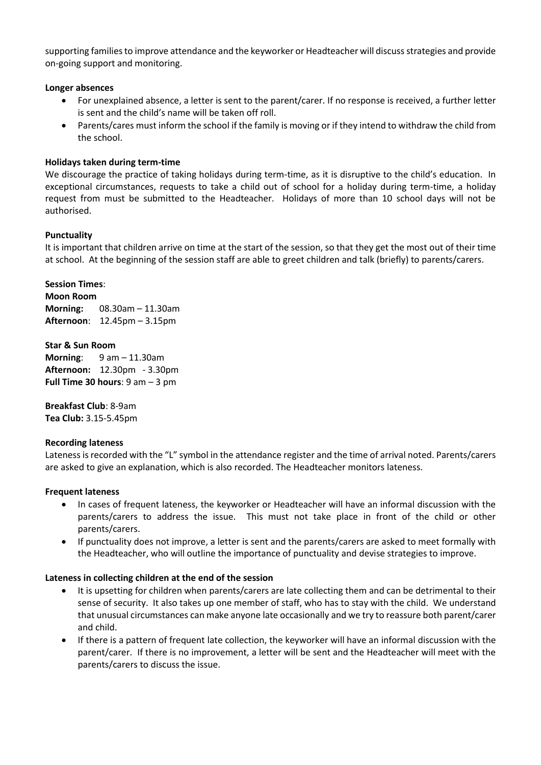supporting families to improve attendance and the keyworker or Headteacher will discuss strategies and provide on-going support and monitoring.

#### **Longer absences**

- For unexplained absence, a letter is sent to the parent/carer. If no response is received, a further letter is sent and the child's name will be taken off roll.
- Parents/cares must inform the school if the family is moving or if they intend to withdraw the child from the school.

#### **Holidays taken during term-time**

We discourage the practice of taking holidays during term-time, as it is disruptive to the child's education. In exceptional circumstances, requests to take a child out of school for a holiday during term-time, a holiday request from must be submitted to the Headteacher. Holidays of more than 10 school days will not be authorised.

#### **Punctuality**

It is important that children arrive on time at the start of the session, so that they get the most out of their time at school. At the beginning of the session staff are able to greet children and talk (briefly) to parents/carers.

# **Session Times**: **Moon Room Morning:** 08.30am – 11.30am **Afternoon**: 12.45pm – 3.15pm

**Star & Sun Room Morning**: 9 am – 11.30am **Afternoon:** 12.30pm - 3.30pm **Full Time 30 hours**: 9 am – 3 pm

**Breakfast Club**: 8-9am **Tea Club:** 3.15-5.45pm

#### **Recording lateness**

Lateness is recorded with the "L" symbol in the attendance register and the time of arrival noted. Parents/carers are asked to give an explanation, which is also recorded. The Headteacher monitors lateness.

#### **Frequent lateness**

- In cases of frequent lateness, the keyworker or Headteacher will have an informal discussion with the parents/carers to address the issue. This must not take place in front of the child or other parents/carers.
- If punctuality does not improve, a letter is sent and the parents/carers are asked to meet formally with the Headteacher, who will outline the importance of punctuality and devise strategies to improve.

#### **Lateness in collecting children at the end of the session**

- It is upsetting for children when parents/carers are late collecting them and can be detrimental to their sense of security. It also takes up one member of staff, who has to stay with the child. We understand that unusual circumstances can make anyone late occasionally and we try to reassure both parent/carer and child.
- If there is a pattern of frequent late collection, the keyworker will have an informal discussion with the parent/carer. If there is no improvement, a letter will be sent and the Headteacher will meet with the parents/carers to discuss the issue.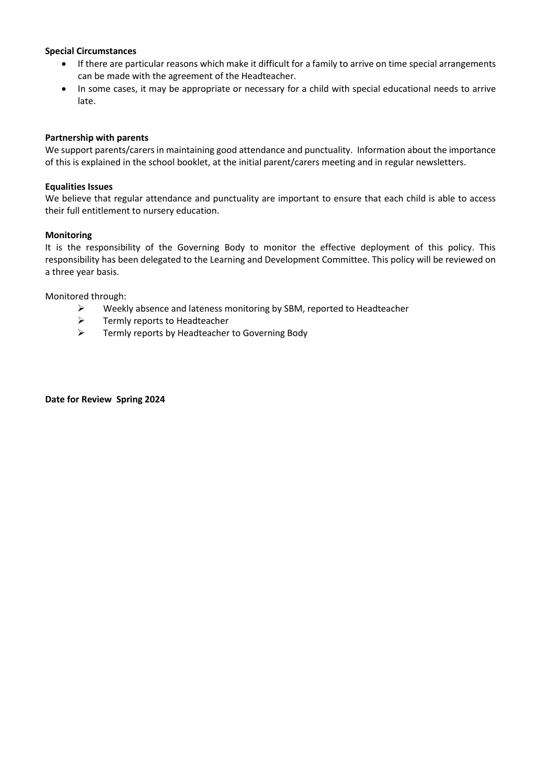### **Special Circumstances**

- If there are particular reasons which make it difficult for a family to arrive on time special arrangements can be made with the agreement of the Headteacher.
- In some cases, it may be appropriate or necessary for a child with special educational needs to arrive late.

# **Partnership with parents**

We support parents/carers in maintaining good attendance and punctuality. Information about the importance of this is explained in the school booklet, at the initial parent/carers meeting and in regular newsletters.

### **Equalities Issues**

We believe that regular attendance and punctuality are important to ensure that each child is able to access their full entitlement to nursery education.

# **Monitoring**

It is the responsibility of the Governing Body to monitor the effective deployment of this policy. This responsibility has been delegated to the Learning and Development Committee. This policy will be reviewed on a three year basis.

Monitored through:

- $\triangleright$  Weekly absence and lateness monitoring by SBM, reported to Headteacher
- $\triangleright$  Termly reports to Headteacher
- Fermly reports by Headteacher to Governing Body

**Date for Review Spring 2024**